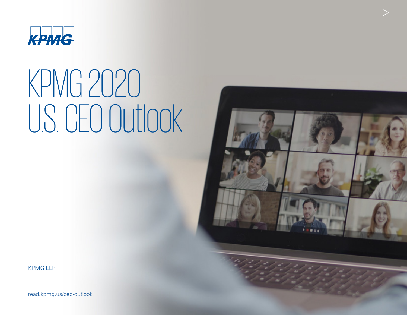

# KPMG 2020 U.S. CEO Outlook



 $\triangleright$ 

KPMG LLP

[read.kpmg.us/ceo-outlook](https://home.kpmg/us/en/home/insights/2020/09/us-ceo-outlook-2020.html)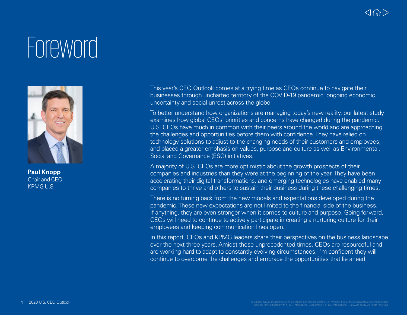## **Foreword**



**Paul Knopp** Chair and CEO KPMG U.S.

This year's CEO Outlook comes at a trying time as CEOs continue to navigate their businesses through uncharted territory of the COVID-19 pandemic, ongoing economic uncertainty and social unrest across the globe.

To better understand how organizations are managing today's new reality, our latest study examines how global CEOs' priorities and concerns have changed during the pandemic. U.S. CEOs have much in common with their peers around the world and are approaching the challenges and opportunities before them with confidence. They have relied on technology solutions to adjust to the changing needs of their customers and employees, and placed a greater emphasis on values, purpose and culture as well as Environmental, Social and Governance (ESG) initiatives.

A majority of U.S. CEOs are more optimistic about the growth prospects of their companies and industries than they were at the beginning of the year. They have been accelerating their digital transformations, and emerging technologies have enabled many companies to thrive and others to sustain their business during these challenging times.

There is no turning back from the new models and expectations developed during the pandemic. These new expectations are not limited to the financial side of the business. If anything, they are even stronger when it comes to culture and purpose. Going forward, CEOs will need to continue to actively participate in creating a nurturing culture for their employees and keeping communication lines open.

In this report, CEOs and KPMG leaders share their perspectives on the business landscape over the next three years. Amidst these unprecedented times, CEOs are resourceful and are working hard to adapt to constantly evolving circumstances. I'm confident they will continue to overcome the challenges and embrace the opportunities that lie ahead.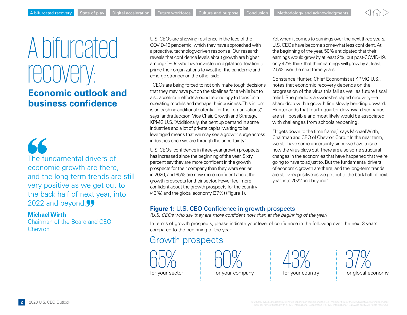### <span id="page-2-0"></span>A bifurcated recovery:

### **Economic outlook and business confidence**

56 The fundamental drivers of economic growth are there, and the long-term trends are still very positive as we get out to the back half of next year, into 2022 and beyond.<sup>99</sup>

#### **Michael Wirth**

Chairman of the Board and CEO Chevron

U.S. CEOs are showing resilience in the face of the COVID-19 pandemic, which they have approached with a proactive, technology-driven response. Our research reveals that confidence levels about growth are higher among CEOs who have invested in digital acceleration to prime their organizations to weather the pandemic and emerge stronger on the other side.

"CEOs are being forced to not only make tough decisions that they may have put on the sidelines for a while but to also accelerate efforts around technology to transform operating models and reshape their business. This in turn is unleashing additional potential for their organizations," says Tandra Jackson, Vice Chair, Growth and Strategy, KPMG U.S. "Additionally, the pent up demand in some industries and a lot of private capital waiting to be leveraged means that we may see a growth surge across industries once we are through the uncertainty."

U.S. CEOs' confidence in three-year growth prospects has increased since the beginning of the year. Sixty percent say they are more confident in the growth prospects for their company than they were earlier in 2020, and 65% are now more confident about the growth prospects for their sector. Fewer feel more confident about the growth prospects for the country (43%) and the global economy (37%) (Figure 1).

Yet when it comes to earnings over the next three years, U.S. CEOs have become somewhat less confident. At the beginning of the year, 50% anticipated that their earnings would grow by at least 2%, but post-COVID-19, only 42% think that their earnings will grow by at least 2.5% over the next three years.

Constance Hunter, Chief Economist at KPMG U.S., notes that economic recovery depends on the progression of the virus this fall as well as future fiscal relief. She predicts a swoosh-shaped recovery—a sharp drop with a growth line slowly bending upward. Hunter adds that fourth-quarter downward scenarios are still possible and most likely would be associated with challenges from schools reopening.

"It gets down to the time frame," says Michael Wirth, Chairman and CEO of Chevron Corp. "In the near term, we still have some uncertainty since we have to see how the virus plays out. There are also some structural changes in the economies that have happened that we're going to have to adjust to. But the fundamental drivers of economic growth are there, and the long-term trends are still very positive as we get out to the back half of next year, into 2022 and beyond."

#### **Figure 1:** U.S. CEO Confidence in growth prospects

*(U.S. CEOs who say they are more confident now than at the beginning of the year)* 

In terms of growth prospects, please indicate your level of confidence in the following over the next 3 years, compared to the beginning of the year:

### Growth prospects

65% 60% 43% 37%

for your sector for your company for your country for global economy

**2** 2020 U.S. CEO Outlook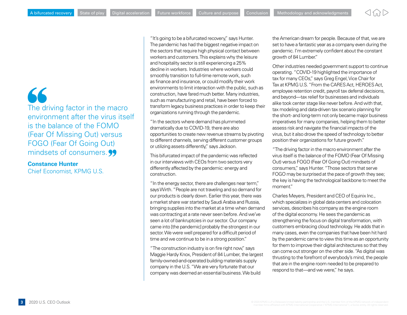66 The driving factor in the macro environment after the virus itself is the balance of the FOMO (Fear Of Missing Out) versus FOGO (Fear Of Going Out) mindsets of consumers.

**Constance Hunter**

Chief Economist, KPMG U.S.

"It's going to be a bifurcated recovery," says Hunter. The pandemic has had the biggest negative impact on the sectors that require high physical contact between workers and customers. This explains why the leisure and hospitality sector is still experiencing a 25% decline in workers. Industries where workers could smoothly transition to full-time remote work, such as finance and insurance, or could modify their work environments to limit interaction with the public, such as construction, have fared much better. Many industries, such as manufacturing and retail, have been forced to transform legacy business practices in order to keep their organizations running through the pandemic.

"In the sectors where demand has plummeted dramatically due to COVID-19, there are also opportunities to create new revenue streams by pivoting to different channels, serving different customer groups or utilizing assets differently," says Jackson.

This bifurcated impact of the pandemic was reflected in our interviews with CEOs from two sectors very differently affected by the pandemic: energy and construction.

"In the energy sector, there are challenges near term," says Wirth. "People are not traveling and so demand for our products is clearly down. Earlier this year, there was a market share war started by Saudi Arabia and Russia, bringing supplies into the market at a time when demand was contracting at a rate never seen before. And we've seen a lot of bankruptcies in our sector. Our company came into [the pandemic] probably the strongest in our sector. We were well prepared for a difficult period of time and we continue to be in a strong position."

"The construction industry is on fire right now," says Maggie Hardy Knox, President of 84 Lumber, the largest family-owned-and-operated building materials supply company in the U.S. "We are very fortunate that our company was deemed an essential business. We build

the American dream for people. Because of that, we are set to have a fantastic year as a company even during the pandemic. I'm extremely confident about the constant growth of 84 Lumber."

Other industries needed government support to continue operating. "COVID-19 highlighted the importance of tax for many CEOs," says Greg Engel, Vice Chair for Tax at KPMG U.S. "From the CARES Act, HEROES Act, employee retention credit, payroll tax deferral decisions, and beyond—tax relief for businesses and individuals alike took center stage like never before. And with that, tax modeling and data-driven tax scenario planning for the short- and long-term not only became major business imperatives for many companies, helping them to better assess risk and navigate the financial impacts of the virus, but it also drove the speed of technology to better position their organizations for future growth."

"The driving factor in the macro environment after the virus itself is the balance of the FOMO (Fear Of Missing Out) versus FOGO (Fear Of Going Out) mindsets of consumers," says Hunter. "Those sectors that serve FOGO may be surprised at the pace of growth they see; the key is having the technological backbone to meet the moment."

Charles Meyers, President and CEO of Equinix Inc., which specializes in global data centers and colocation services, describes his company as the engine room of the digital economy. He sees the pandemic as strengthening the focus on digital transformation, with customers embracing cloud technology. He adds that in many cases, even the companies that have been hit hard by the pandemic came to view this time as an opportunity for them to improve their digital architectures so that they can come out stronger on the other side. "As digital was thrusting to the forefront of everybody's mind, the people that are in the engine room needed to be prepared to respond to that—and we were," he says.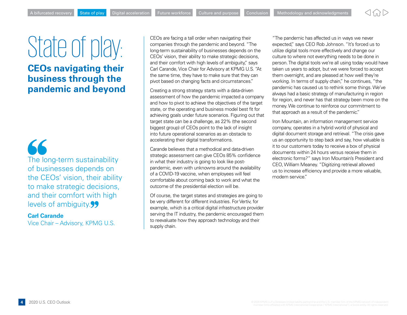## <span id="page-4-0"></span>State of play:

**CEOs navigating their business through the pandemic and beyond**

 $\epsilon$ The long-term sustainability of businesses depends on the CEOs' vision, their ability to make strategic decisions, and their comfort with high levels of ambiguity.<sup>99</sup>

### **Carl Carande**

Vice Chair – Advisory, KPMG U.S.

CEOs are facing a tall order when navigating their companies through the pandemic and beyond. "The long-term sustainability of businesses depends on the CEOs' vision, their ability to make strategic decisions, and their comfort with high levels of ambiguity." says Carl Carande, Vice Chair for Advisory at KPMG U.S. "At the same time, they have to make sure that they can pivot based on changing facts and circumstances."

Creating a strong strategy starts with a data-driven assessment of how the pandemic impacted a company and how to pivot to achieve the objectives of the target state, or the operating and business model best fit for achieving goals under future scenarios. Figuring out that target state can be a challenge, as 22% (the second biggest group) of CEOs point to the lack of insight into future operational scenarios as an obstacle to accelerating their digital transformations.

Carande believes that a methodical and data-driven strategic assessment can give CEOs 85% confidence in what their industry is going to look like postpandemic, even with unknowns around the availability of a COVID-19 vaccine, when employees will feel comfortable about coming back to work and what the outcome of the presidential election will be.

Of course, the target states and strategies are going to be very different for different industries. For Vertiv, for example, which is a critical digital infrastructure provider serving the IT industry, the pandemic encouraged them to reevaluate how they approach technology and their supply chain.

"The pandemic has affected us in ways we never expected," says CEO Rob Johnson. "It's forced us to utilize digital tools more effectively and change our culture to where not everything needs to be done in person. The digital tools we're all using today would have taken us years to adopt, but we were forced to accept them overnight, and are pleased at how well they're working. In terms of supply chain," he continues, "the pandemic has caused us to rethink some things. We've always had a basic strategy of manufacturing in region for region, and never has that strategy been more on the money. We continue to reinforce our commitment to that approach as a result of the pandemic."

Iron Mountain, an information management service company, operates in a hybrid world of physical and digital document storage and retrieval. "The crisis gave us an opportunity to step back and say, how valuable is it to our customers today to receive a box of physical documents within 24 hours versus receive them in electronic forms?" says Iron Mountain's President and CEO, William Meaney. "Digitizing retrieval allowed us to increase efficiency and provide a more valuable, modern service."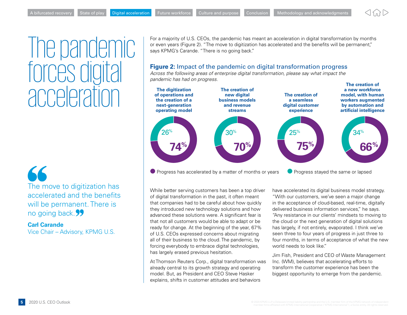<span id="page-5-0"></span>The pandemic forces dic acceleration

 $\blacktriangle$ The move to digitization has accelerated and the benefits will be permanent. There is no going back.<sup>99</sup>

**Carl Carande** Vice Chair – Advisory, KPMG U.S. For a majority of U.S. CEOs, the pandemic has meant an acceleration in digital transformation by months or even years (Figure 2). "The move to digitization has accelerated and the benefits will be permanent," says KPMG's Carande. "There is no going back."

#### **Figure 2:** Impact of the pandemic on digital transformation progress

*Across the following areas of enterprise digital transformation, please say what impact the pandemic has had on progress.*



 $\bullet$  Progress has accelerated by a matter of months or years  $\bullet$  Progress stayed the same or lapsed

While better serving customers has been a top driver of digital transformation in the past, it often meant that companies had to be careful about how quickly they introduced new technology solutions and how advanced these solutions were. A significant fear is that not all customers would be able to adapt or be ready for change. At the beginning of the year, 67% of U.S. CEOs expressed concerns about migrating all of their business to the cloud. The pandemic, by forcing everybody to embrace digital technologies, has largely erased previous hesitation.

At Thomson Reuters Corp., digital transformation was already central to its growth strategy and operating model. But, as President and CEO Steve Hasker explains, shifts in customer attitudes and behaviors

have accelerated its digital business model strategy. "With our customers, we've seen a major change in the acceptance of cloud-based, real-time, digitally delivered business information services," he says. "Any resistance in our clients' mindsets to moving to the cloud or the next generation of digital solutions has largely, if not entirely, evaporated. I think we've seen three to four years of progress in just three to four months, in terms of acceptance of what the new world needs to look like."

Jim Fish, President and CEO of Waste Management Inc. (WM), believes that accelerating efforts to transform the customer experience has been the biggest opportunity to emerge from the pandemic.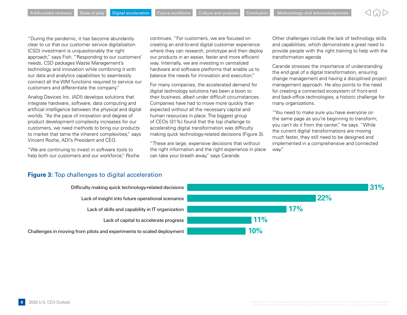"During the pandemic, it has become abundantly clear to us that our customer service digitalization (CSD) investment is unquestionably the right approach," says Fish. "Responding to our customers' needs, CSD packages Waste Management's technology and innovation while combining it with our data and analytics capabilities to seamlessly connect all the WM functions required to service our customers and differentiate the company."

Analog Devices Inc. (ADI) develops solutions that integrate hardware, software, data computing and artificial intelligence between the physical and digital worlds. "As the pace of innovation and degree of product development complexity increases for our customers, we need methods to bring our products to market that tame the inherent complexities," says Vincent Roche, ADI's President and CEO.

"We are continuing to invest in software tools to help both our customers and our workforce," Roche continues. "For customers, we are focused on creating an end-to-end digital customer experience where they can research, prototype and then deploy our products in an easier, faster and more efficient way. Internally, we are investing in centralized hardware and software platforms that enable us to balance the needs for innovation and execution."

For many companies, the accelerated demand for digital technology solutions has been a boon to their business, albeit under difficult circumstances. Companies have had to move more quickly than expected without all the necessary capital and human resources in place. The biggest group of CEOs (31%) found that the top challenge to accelerating digital transformation was difficulty making quick technology-related decisions (Figure 3).

"These are large, expensive decisions that without the right information and the right experience in place can take your breath away," says Carande.

Other challenges include the lack of technology skills and capabilities, which demonstrate a great need to provide people with the right training to help with the transformation agenda

Carande stresses the importance of understanding the end goal of a digital transformation, ensuring change management and having a disciplined project management approach. He also points to the need for creating a connected ecosystem of front-end and back-office technologies, a historic challenge for many organizations.

"You need to make sure you have everyone on the same page as you're beginning to transform; you can't do it from the center," he says. "While the current digital transformations are moving much faster, they still need to be designed and implemented in a comprehensive and connected way."

#### **Figure 3:** Top challenges to digital acceleration

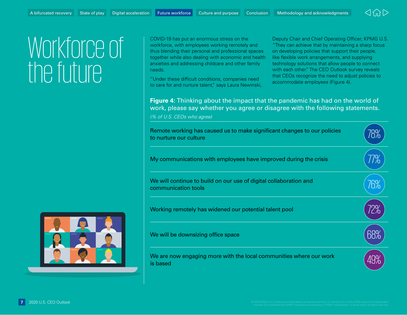

### <span id="page-7-0"></span>Workforce of the future

COVID-19 has put an enormous stress on the workforce, with employees working remotely and thus blending their personal and professional spaces together while also dealing with economic and health anxieties and addressing childcare and other family needs.

"Under these difficult conditions, companies need to care for and nurture talent," says Laura Newinski,

Deputy Chair and Chief Operating Officer, KPMG U.S. "They can achieve that by maintaining a sharp focus on developing policies that support their people, like flexible work arrangements, and supplying technology solutions that allow people to connect with each other." The CEO Outlook survey reveals that CEOs recognize the need to adjust policies to accommodate employees (Figure 4).

**Figure 4:** Thinking about the impact that the pandemic has had on the world of work, please say whether you agree or disagree with the following statements.

*(% of U.S. CEOs who agree)*



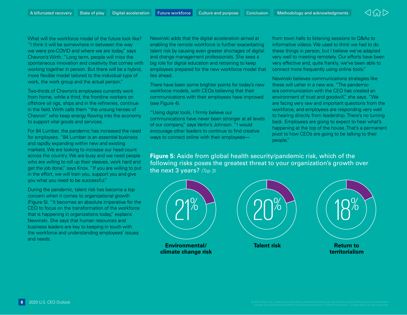

What will the workforce model of the future look like? "I think it will be somewhere in between the way we were pre-COVID and where we are today," says Chevron's Wirth. "Long term, people will miss the spontaneous innovation and creativity that comes with working together in person. But there will be a hybrid, more flexible model tailored to the individual type of work, the work group and the actual person."

Two-thirds of Chevron's employees currently work from home, while a third, the frontline workers on offshore oil rigs, ships and in the refineries, continue in the field. Wirth calls them "the unsung heroes of Chevron" who keep energy flowing into the economy to support vital goods and services.

For 84 Lumber, the pandemic has increased the need for employees. "84 Lumber is an essential business and rapidly expanding within new and existing markets. We are looking to increase our head count across the country. We are busy and we need people who are willing to roll up their sleeves, work hard and get the job done," says Knox. "If you are willing to put in the effort, we will train you, support you and give you what you need to be successful."

During the pandemic, talent risk has become a top concern when it comes to organizational growth (Figure 5). "It becomes an absolute imperative for the CEO to focus on the transformation of the workforce that is happening in organizations today," explains Newinski. She says that human resources and business leaders are key to keeping in touch with the workforce and understanding employees' issues and needs.

Newinski adds that the digital acceleration aimed at enabling the remote workforce is further exacerbating talent risk by causing even greater shortages of digital and change management professionals. She sees a big role for digital education and retraining to keep employees prepared for the new workforce model that lies ahead.

There have been some brighter points for today's new workforce models, with CEOs believing that their communications with their employees have improved (see Figure 4).

"Using digital tools, I firmly believe our communications have never been stronger at all levels of our company," says Vertiv's Johnson. "I would encourage other leaders to continue to find creative ways to connect online with their employeesfrom town halls to listening sessions to Q&As to informative videos. We used to think we had to do these things in person, but I believe we've adapted very well to meeting remotely. Our efforts have been very effective and, quite frankly, we've been able to connect more frequently using online tools."

Newinski believes communications strategies like these will usher in a new era. "The pandemicera communication with the CEO has created an environment of trust and goodwill," she says. "We are facing very raw and important questions from the workforce, and employees are responding very well to hearing directly from leadership. There's no turning back. Employees are going to expect to hear what's happening at the top of the house. That's a permanent pivot to how CEOs are going to be talking to their people."

**Figure 5:** Aside from global health security/pandemic risk, which of the following risks poses the greatest threat to your organization's growth over the next 3 years? *(Top 3)*

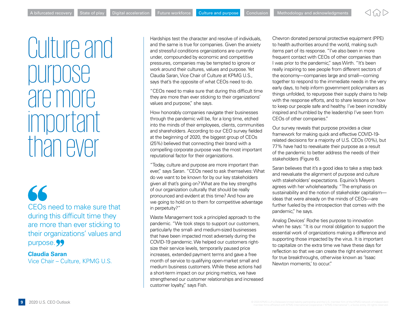### <span id="page-9-0"></span>Culture and purpose are more important than ever

66 CEOs need to make sure that during this difficult time they are more than ever sticking to their organizations' values and purpose.<sup>99</sup>

**Claudia Saran** Vice Chair – Culture, KPMG U.S. Hardships test the character and resolve of individuals, and the same is true for companies. Given the anxiety and stressful conditions organizations are currently under, compounded by economic and competitive pressures, companies may be tempted to ignore or work around their cultures, values and purpose. Yet Claudia Saran, Vice Chair of Culture at KPMG U.S., says that's the opposite of what CEOs need to do.

"CEOs need to make sure that during this difficult time they are more than ever sticking to their organizations' values and purpose," she says.

How honorably companies navigate their businesses through the pandemic will be, for a long time, etched into the minds of their employees, clients, communities and shareholders. According to our CEO survey fielded at the beginning of 2020, the biggest group of CEOs (25%) believed that connecting their brand with a compelling corporate purpose was the most important reputational factor for their organizations.

"Today, culture and purpose are more important than ever," says Saran. "CEOs need to ask themselves: What do we want to be known for by our key stakeholders given all that's going on? What are the key strengths of our organization culturally that should be really pronounced and evident at this time? And how are we going to hold on to them for competitive advantage in perpetuity?"

Waste Management took a principled approach to the pandemic. "We took steps to support our customers, particularly the small- and medium-sized businesses that have been impacted most adversely during the COVID-19 pandemic. We helped our customers rightsize their service levels, temporarily paused price increases, extended payment terms and gave a free month of service to qualifying open-market small and medium business customers. While these actions had a short-term impact on our pricing metrics, we have strengthened our customer relationships and increased customer loyalty," says Fish.

Chevron donated personal protective equipment (PPE) to health authorities around the world, making such items part of its response. "I've also been in more frequent contact with CEOs of other companies than I was prior to the pandemic," says Wirth. "It's been really inspiring to see people from different sectors of the economy—companies large and small—coming together to respond to the immediate needs in the very early days, to help inform government policymakers as things unfolded, to repurpose their supply chains to help with the response efforts, and to share lessons on how to keep our people safe and healthy. I've been incredibly inspired and humbled by the leadership I've seen from CEOs of other companies."

Our survey reveals that purpose provides a clear framework for making quick and effective COVID-19 related decisions for a majority of U.S. CEOs (70%), but 77% have had to reevaluate their purpose as a result of the pandemic to better address the needs of their stakeholders (Figure 6).

Saran believes that it's a good idea to take a step back and reevaluate the alignment of purpose and culture with stakeholders' expectations. Equinix's Meyers agrees with her wholeheartedly. "The emphasis on sustainability and the notion of stakeholder capitalism ideas that were already on the minds of CEOs—are further fueled by the introspection that comes with the pandemic," he says.

Analog Devices' Roche ties purpose to innovation when he says: "It is our moral obligation to support the essential work of organizations making a difference and supporting those impacted by the virus. It is important to capitalize on the extra time we have these days for reflection so that we can create the right environment for true breakthroughs, otherwise known as 'Isaac Newton moments,' to occur."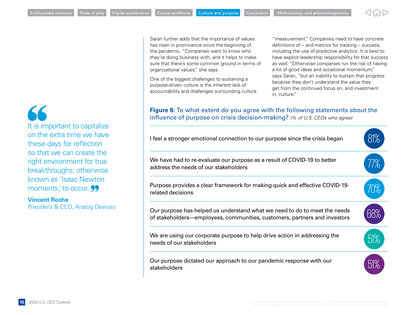

Saran further adds that the importance of values has risen in prominence since the beginning of the pandemic. "Companies want to know who they're doing business with, and it helps to make sure that there's some common ground in terms of organizational values," she says.

One of the biggest challenges to sustaining a purpose-driven culture is the inherent lack of accountability and challenges surrounding culture

"measurement." Companies need to have concrete definitions of – and metrics for tracking – success, including the use of predictive analytics. It is best to have explicit leadership responsibility for that success as well. "Otherwise companies run the risk of having a lot of good ideas and occasional momentum," says Saran, "but an inability to sustain that progress because they don't understand the value they get from the continued focus on, and investment in, culture."

#### **Figure 6:** To what extent do you agree with the following statements about the influence of purpose on crisis decision-making? *(% of U.S. CEOs who agree)*



66 It is important to capitalize on the extra time we have these days for reflection so that we can create the right environment for true breakthroughs, otherwise known as 'Isaac Newton moments, to occur. **99** 

#### **Vincent Roche**

President & CEO, Analog Devices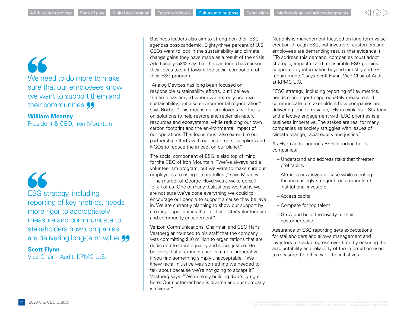### 66 We need to do more to make sure that our employees know we want to support them and their communities.<sup>99</sup>

#### **William Meaney** President & CEO, Iron Mountain

66 ESG strategy, including reporting of key metrics, needs more rigor to appropriately measure and communicate to stakeholders how companies are delivering long-term value. 99

#### **Scott Flynn**

Vice Chair – Audit, KPMG U.S.

Business leaders also aim to strengthen their ESG agendas post-pandemic. Eighty-three percent of U.S. CEOs want to lock in the sustainability and climate change gains they have made as a result of the crisis. Additionally, 58% say that the pandemic has caused their focus to shift toward the social component of their ESG program.

"Analog Devices has long been focused on responsible sustainability efforts, but I believe the time has arrived where we not only prioritize sustainability, but also environmental regeneration," says Roche. "This means our employees will focus on solutions to help restore and replenish natural resources and ecosystems, while reducing our own carbon footprint and the environmental impact of our operations. This focus must also extend to our partnership efforts with our customers, suppliers and NGOs to reduce the impact on our planet."

The social component of ESG is also top of mind for the CEO of Iron Mountain. "We've always had a volunteerism program, but we want to make sure our employees are using it to its fullest," says Meaney. "The murder of George Floyd was a wake-up call for all of us. One of many realizations we had is we are not sure we've done everything we could to encourage our people to support a cause they believe in. We are currently planning to show our support by creating opportunities that further foster volunteerism and community engagement."

Verizon Communications' Chairman and CEO Hans Vestberg announced to his staff that the company was committing \$10 million to organizations that are dedicated to racial equality and social justice. He believes that a strong stance is a moral imperative if you find something simply unacceptable. "We knew racial injustice was something we needed to talk about because we're not going to accept it," Vestberg says. "We're really building diversity right here: Our customer base is diverse and our company is diverse."

Not only is management focused on long-term value creation through ESG, but investors, customers and employees are demanding results that evidence it. "To address this demand, companies must adopt strategic, impactful and measurable ESG policies supported by information beyond industry and SEC requirements," says Scott Flynn, Vice Chair of Audit at KPMG U.S.

"ESG strategy, including reporting of key metrics, needs more rigor to appropriately measure and communicate to stakeholders how companies are delivering long-term value," Flynn explains. "Strategic and effective engagement with ESG priorities is a business imperative. The stakes are real for many companies as society struggles with issues of climate change, racial equity and justice."

As Flynn adds, rigorous ESG reporting helps companies:

- Understand and address risks that threaten profitability
- Attract a new investor base while meeting the increasingly stringent requirements of institutional investors
- Access capital
- Compete for top talent
- Grow and build the loyalty of their customer base.

Assurance of ESG reporting sets expectations for stakeholders and allows management and investors to track progress over time by ensuring the accountability and reliability of the information used to measure the efficacy of the initiatives.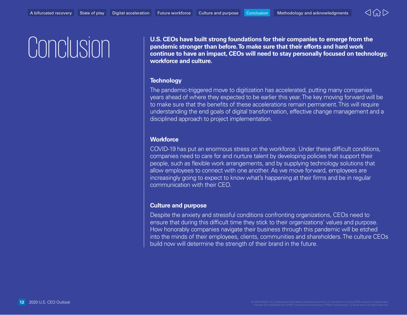

<span id="page-12-0"></span>**CONCOLO CONTEGRS** U.S. CEOs have built strong foundations for their companies to emerge from the<br>pandemic stronger than before. To make sure that their efforts and hard work<br>continue to have an impact, CEOs will need to s **pandemic stronger than before. To make sure that their efforts and hard work continue to have an impact, CEOs will need to stay personally focused on technology, workforce and culture.**

#### **Technology**

The pandemic-triggered move to digitization has accelerated, putting many companies years ahead of where they expected to be earlier this year. The key moving forward will be to make sure that the benefits of these accelerations remain permanent. This will require understanding the end goals of digital transformation, effective change management and a disciplined approach to project implementation.

#### **Workforce**

COVID-19 has put an enormous stress on the workforce. Under these difficult conditions, companies need to care for and nurture talent by developing policies that support their people, such as flexible work arrangements, and by supplying technology solutions that allow employees to connect with one another. As we move forward, employees are increasingly going to expect to know what's happening at their firms and be in regular communication with their CEO.

#### **Culture and purpose**

Despite the anxiety and stressful conditions confronting organizations, CEOs need to ensure that during this difficult time they stick to their organizations' values and purpose. How honorably companies navigate their business through this pandemic will be etched into the minds of their employees, clients, communities and shareholders. The culture CEOs build now will determine the strength of their brand in the future.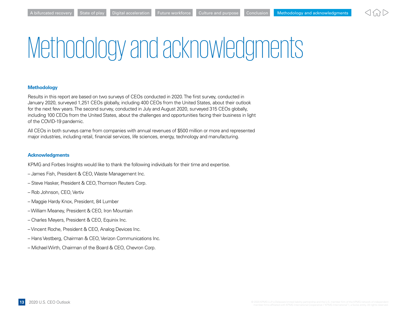

## <span id="page-13-0"></span>Methodology and acknowledgments

#### **Methodology**

Results in this report are based on two surveys of CEOs conducted in 2020. The first survey, conducted in January 2020, surveyed 1,251 CEOs globally, including 400 CEOs from the United States, about their outlook for the next few years. The second survey, conducted in July and August 2020, surveyed 315 CEOs globally, including 100 CEOs from the United States, about the challenges and opportunities facing their business in light of the COVID-19 pandemic.

All CEOs in both surveys came from companies with annual revenues of \$500 million or more and represented major industries, including retail, financial services, life sciences, energy, technology and manufacturing.

#### **Acknowledgments**

KPMG and Forbes Insights would like to thank the following individuals for their time and expertise.

- James Fish, President & CEO, Waste Management Inc.
- Steve Hasker, President & CEO, Thomson Reuters Corp.
- Rob Johnson, CEO, Vertiv
- Maggie Hardy Knox, President, 84 Lumber
- William Meaney, President & CEO, Iron Mountain
- Charles Meyers, President & CEO, Equinix Inc.
- Vincent Roche, President & CEO, Analog Devices Inc.
- Hans Vestberg, Chairman & CEO, Verizon Communications Inc.
- Michael Wirth, Chairman of the Board & CEO, Chevron Corp.